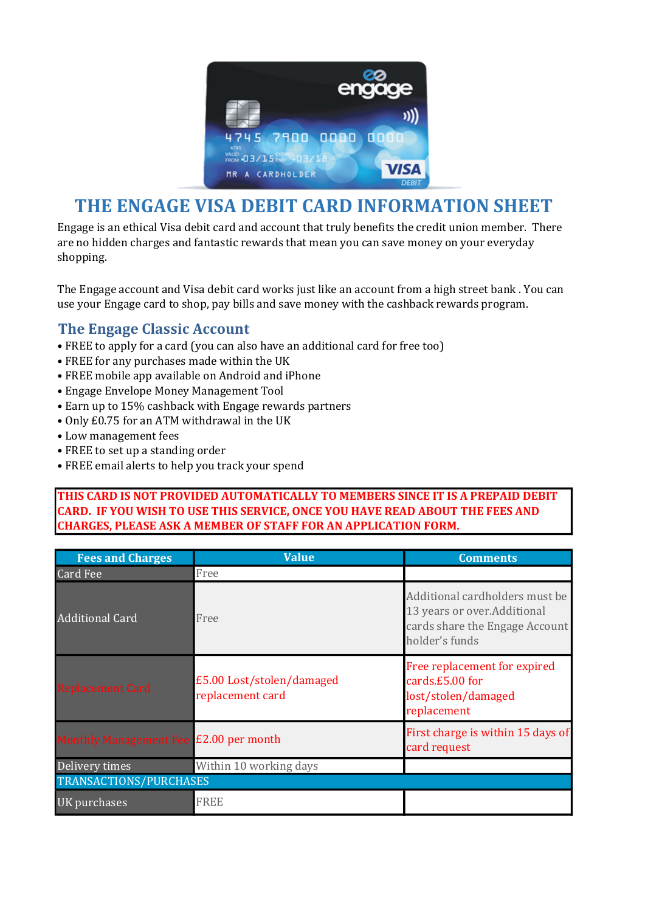

## THE ENGAGE VISA DEBIT CARD INFORMATION SHEET

Engage is an ethical Visa debit card and account that truly benefits the credit union member. There are no hidden charges and fantastic rewards that mean you can save money on your everyday shopping.

The Engage account and Visa debit card works just like an account from a high street bank . You can use your Engage card to shop, pay bills and save money with the cashback rewards program.

## The Engage Classic Account

- FREE to apply for a card (you can also have an additional card for free too)
- FREE for any purchases made within the UK
- FREE mobile app available on Android and iPhone
- Engage Envelope Money Management Tool
- Earn up to 15% cashback with Engage rewards partners
- Only £0.75 for an ATM withdrawal in the UK
- Low management fees
- FREE to set up a standing order
- FREE email alerts to help you track your spend

## THIS CARD IS NOT PROVIDED AUTOMATICALLY TO MEMBERS SINCE IT IS A PREPAID DEBIT CARD. IF YOU WISH TO USE THIS SERVICE, ONCE YOU HAVE READ ABOUT THE FEES AND CHARGES, PLEASE ASK A MEMBER OF STAFF FOR AN APPLICATION FORM.

| <b>Fees and Charges</b>                | <b>Value</b>                                  | <b>Comments</b>                                                                                                   |
|----------------------------------------|-----------------------------------------------|-------------------------------------------------------------------------------------------------------------------|
| <b>Card Fee</b>                        | Free                                          |                                                                                                                   |
| <b>Additional Card</b>                 | Free                                          | Additional cardholders must be<br>13 years or over.Additional<br>cards share the Engage Account<br>holder's funds |
| <b>Replacement Card</b>                | £5.00 Lost/stolen/damaged<br>replacement card | Free replacement for expired<br>cards.£5.00 for<br>lost/stolen/damaged<br>replacement                             |
| Monthly Management Fee £2.00 per month |                                               | First charge is within 15 days of<br>card request                                                                 |
| Delivery times                         | Within 10 working days                        |                                                                                                                   |
| <b>TRANSACTIONS/PURCHASES</b>          |                                               |                                                                                                                   |
| UK purchases                           | <b>FREE</b>                                   |                                                                                                                   |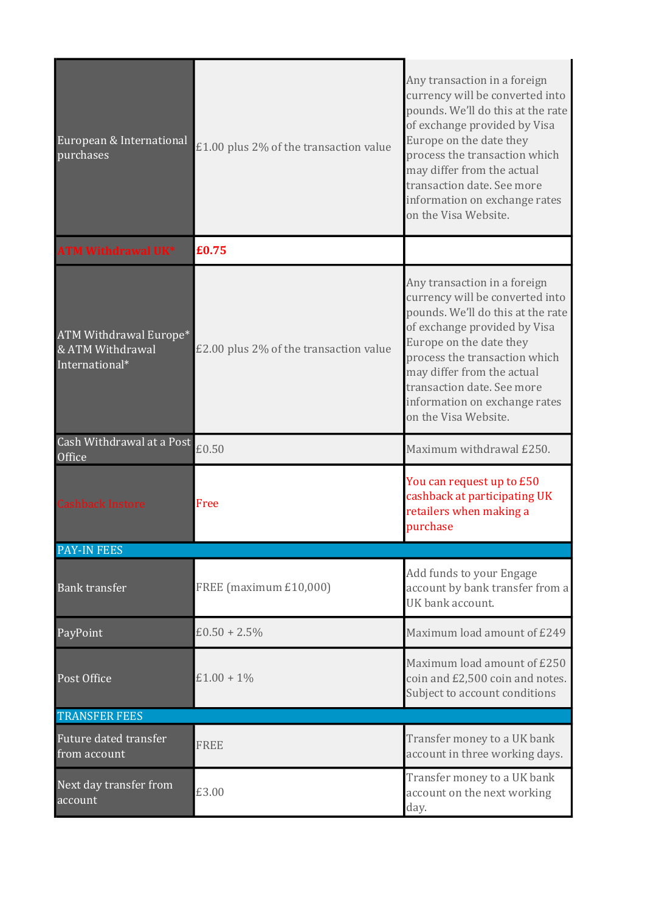| European & International<br>purchases                        | £1.00 plus 2% of the transaction value | Any transaction in a foreign<br>currency will be converted into<br>pounds. We'll do this at the rate<br>of exchange provided by Visa<br>Europe on the date they<br>process the transaction which<br>may differ from the actual<br>transaction date. See more<br>information on exchange rates<br>on the Visa Website. |
|--------------------------------------------------------------|----------------------------------------|-----------------------------------------------------------------------------------------------------------------------------------------------------------------------------------------------------------------------------------------------------------------------------------------------------------------------|
| <b>ATM Withdrawal UK*</b>                                    | £0.75                                  |                                                                                                                                                                                                                                                                                                                       |
| ATM Withdrawal Europe*<br>& ATM Withdrawal<br>International* | £2.00 plus 2% of the transaction value | Any transaction in a foreign<br>currency will be converted into<br>pounds. We'll do this at the rate<br>of exchange provided by Visa<br>Europe on the date they<br>process the transaction which<br>may differ from the actual<br>transaction date. See more<br>information on exchange rates<br>on the Visa Website. |
| Cash Withdrawal at a Post<br>Office                          | £0.50                                  | Maximum withdrawal £250.                                                                                                                                                                                                                                                                                              |
| <b>Cashback Instore</b>                                      | Free                                   | You can request up to £50<br>cashback at participating UK<br>retailers when making a<br>purchase                                                                                                                                                                                                                      |
| <b>PAY-IN FEES</b>                                           |                                        |                                                                                                                                                                                                                                                                                                                       |
| <b>Bank transfer</b>                                         | FREE (maximum £10,000)                 | Add funds to your Engage<br>account by bank transfer from a<br>UK bank account.                                                                                                                                                                                                                                       |
| PayPoint                                                     | $£0.50 + 2.5%$                         | Maximum load amount of £249                                                                                                                                                                                                                                                                                           |
| Post Office                                                  | $£1.00 + 1%$                           | Maximum load amount of £250<br>coin and £2,500 coin and notes.<br>Subject to account conditions                                                                                                                                                                                                                       |
| <b>TRANSFER FEES</b>                                         |                                        |                                                                                                                                                                                                                                                                                                                       |
| Future dated transfer<br>from account                        | <b>FREE</b>                            | Transfer money to a UK bank<br>account in three working days.                                                                                                                                                                                                                                                         |
| Next day transfer from<br>account                            | £3.00                                  | Transfer money to a UK bank<br>account on the next working<br>day.                                                                                                                                                                                                                                                    |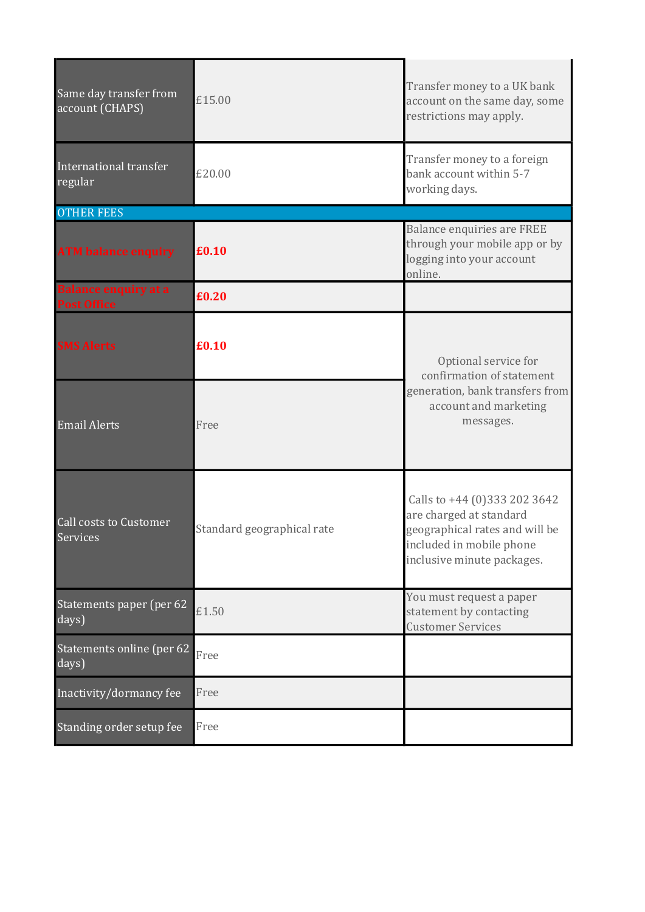| Same day transfer from<br>account (CHAPS)         | £15.00                     | Transfer money to a UK bank<br>account on the same day, some<br>restrictions may apply.                                                             |
|---------------------------------------------------|----------------------------|-----------------------------------------------------------------------------------------------------------------------------------------------------|
| International transfer<br>regular                 | £20.00                     | Transfer money to a foreign<br>bank account within 5-7<br>working days.                                                                             |
| <b>OTHER FEES</b>                                 |                            |                                                                                                                                                     |
| <b>ATM balance enquiry</b>                        | £0.10                      | Balance enquiries are FREE<br>through your mobile app or by<br>logging into your account<br>online.                                                 |
| <b>Balance enquiry at a</b><br><b>Post Office</b> | £0.20                      |                                                                                                                                                     |
| <b>SMS Alerts</b>                                 | £0.10                      | Optional service for<br>confirmation of statement<br>generation, bank transfers from<br>account and marketing<br>messages.                          |
| <b>Email Alerts</b>                               | Free                       |                                                                                                                                                     |
| <b>Call costs to Customer</b><br><b>Services</b>  | Standard geographical rate | Calls to +44 (0)333 202 3642<br>are charged at standard<br>geographical rates and will be<br>included in mobile phone<br>inclusive minute packages. |
| Statements paper (per 62<br>days)                 | £1.50                      | You must request a paper<br>statement by contacting<br><b>Customer Services</b>                                                                     |
| Statements online (per 62<br>days)                | Free                       |                                                                                                                                                     |
| Inactivity/dormancy fee                           | Free                       |                                                                                                                                                     |
| Standing order setup fee                          | Free                       |                                                                                                                                                     |